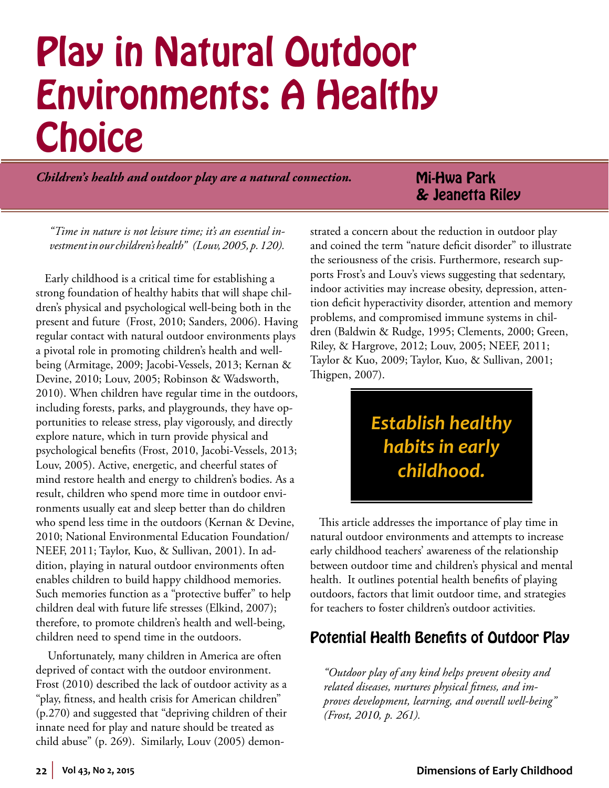# Play in Natural Outdoor Environments: A Healthy **Choice**

*Children's health and outdoor play are a natural connection.*

# Mi-Hwa Park & Jeanetta Riley

*"Time in nature is not leisure time; it's an essential investment in our children's health" (Louv, 2005, p. 120).*

Early childhood is a critical time for establishing a strong foundation of healthy habits that will shape children's physical and psychological well-being both in the present and future (Frost, 2010; Sanders, 2006). Having regular contact with natural outdoor environments plays a pivotal role in promoting children's health and wellbeing (Armitage, 2009; Jacobi-Vessels, 2013; Kernan & Devine, 2010; Louv, 2005; Robinson & Wadsworth, 2010). When children have regular time in the outdoors, including forests, parks, and playgrounds, they have opportunities to release stress, play vigorously, and directly explore nature, which in turn provide physical and psychological benefits (Frost, 2010, Jacobi-Vessels, 2013; Louv, 2005). Active, energetic, and cheerful states of mind restore health and energy to children's bodies. As a result, children who spend more time in outdoor environments usually eat and sleep better than do children who spend less time in the outdoors (Kernan & Devine, 2010; National Environmental Education Foundation/ NEEF, 2011; Taylor, Kuo, & Sullivan, 2001). In addition, playing in natural outdoor environments often enables children to build happy childhood memories. Such memories function as a "protective buffer" to help children deal with future life stresses (Elkind, 2007); therefore, to promote children's health and well-being, children need to spend time in the outdoors.

 Unfortunately, many children in America are often deprived of contact with the outdoor environment. Frost (2010) described the lack of outdoor activity as a "play, fitness, and health crisis for American children" (p.270) and suggested that "depriving children of their innate need for play and nature should be treated as child abuse" (p. 269). Similarly, Louv (2005) demonstrated a concern about the reduction in outdoor play and coined the term "nature deficit disorder" to illustrate the seriousness of the crisis. Furthermore, research supports Frost's and Louv's views suggesting that sedentary, indoor activities may increase obesity, depression, attention deficit hyperactivity disorder, attention and memory problems, and compromised immune systems in children (Baldwin & Rudge, 1995; Clements, 2000; Green, Riley, & Hargrove, 2012; Louv, 2005; NEEF, 2011; Taylor & Kuo, 2009; Taylor, Kuo, & Sullivan, 2001; Thigpen, 2007).

# *Establish healthy habits in early childhood.*

This article addresses the importance of play time in natural outdoor environments and attempts to increase early childhood teachers' awareness of the relationship between outdoor time and children's physical and mental health. It outlines potential health benefits of playing outdoors, factors that limit outdoor time, and strategies for teachers to foster children's outdoor activities.

# Potential Health Benefits of Outdoor Play

*"Outdoor play of any kind helps prevent obesity and related diseases, nurtures physical fitness, and improves development, learning, and overall well-being" (Frost, 2010, p. 261).*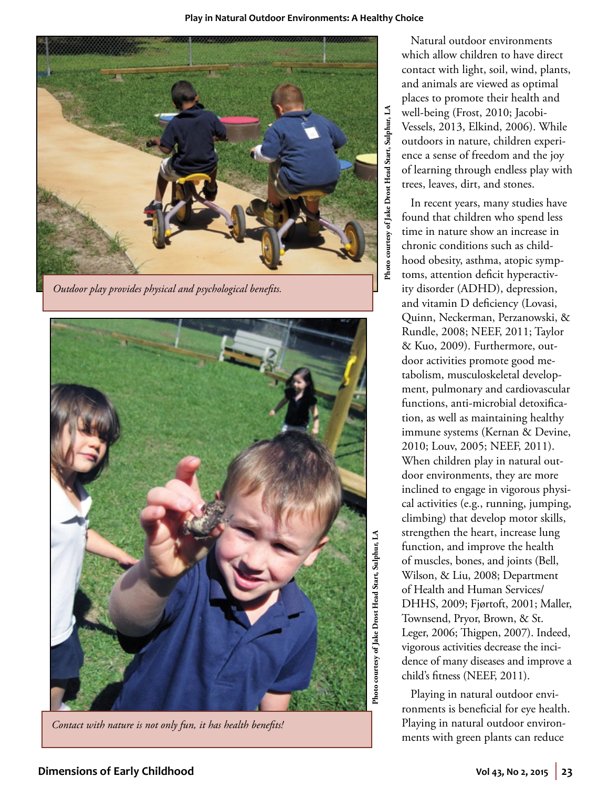#### **Play in Natural Outdoor Environments: A Healthy Choice**



*Outdoor play provides physical and psychological benefits.* 



*Contact with nature is not only fun, it has health benefits!* 

Photo courtesy of Jake Drost Head Start, Sulphur, LA **Photo courtesy of Jake Drost Head Start, Sulphur, LA** 

Natural outdoor environments which allow children to have direct contact with light, soil, wind, plants, and animals are viewed as optimal places to promote their health and well-being (Frost, 2010; Jacobi-Vessels, 2013, Elkind, 2006). While outdoors in nature, children experience a sense of freedom and the joy of learning through endless play with trees, leaves, dirt, and stones.

In recent years, many studies have found that children who spend less time in nature show an increase in chronic conditions such as childhood obesity, asthma, atopic symptoms, attention deficit hyperactivity disorder (ADHD), depression, and vitamin D deficiency (Lovasi, Quinn, Neckerman, Perzanowski, & Rundle, 2008; NEEF, 2011; Taylor & Kuo, 2009). Furthermore, outdoor activities promote good metabolism, musculoskeletal development, pulmonary and cardiovascular functions, anti-microbial detoxification, as well as maintaining healthy immune systems (Kernan & Devine, 2010; Louv, 2005; NEEF, 2011). When children play in natural outdoor environments, they are more inclined to engage in vigorous physical activities (e.g., running, jumping, climbing) that develop motor skills, strengthen the heart, increase lung function, and improve the health of muscles, bones, and joints (Bell, Wilson, & Liu, 2008; Department of Health and Human Services/ DHHS, 2009; Fjørtoft, 2001; Maller, Townsend, Pryor, Brown, & St. Leger, 2006; Thigpen, 2007). Indeed, vigorous activities decrease the incidence of many diseases and improve a child's fitness (NEEF, 2011).

Playing in natural outdoor environments is beneficial for eye health. Playing in natural outdoor environments with green plants can reduce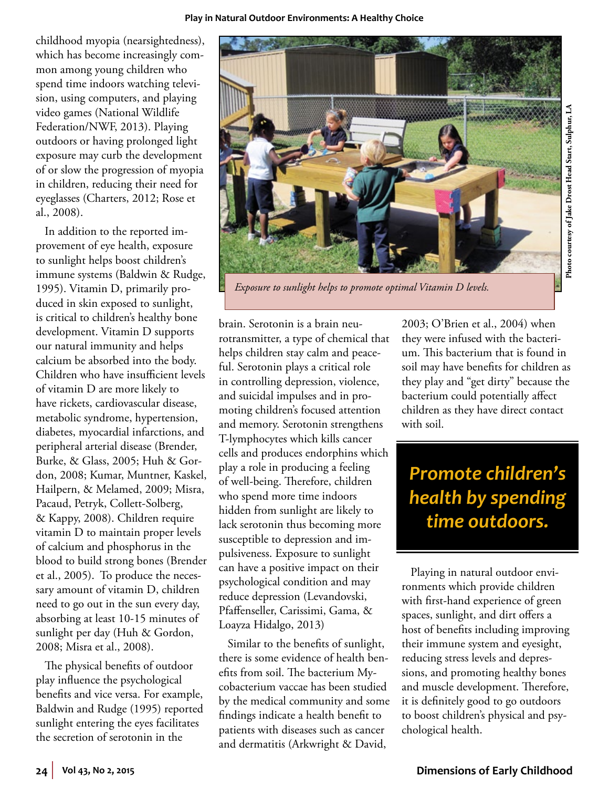childhood myopia (nearsightedness), which has become increasingly common among young children who spend time indoors watching television, using computers, and playing video games (National Wildlife Federation/NWF, 2013). Playing outdoors or having prolonged light exposure may curb the development of or slow the progression of myopia in children, reducing their need for eyeglasses (Charters, 2012; Rose et al., 2008).

In addition to the reported improvement of eye health, exposure to sunlight helps boost children's immune systems (Baldwin & Rudge, 1995). Vitamin D, primarily produced in skin exposed to sunlight, is critical to children's healthy bone development. Vitamin D supports our natural immunity and helps calcium be absorbed into the body. Children who have insufficient levels of vitamin D are more likely to have rickets, cardiovascular disease, metabolic syndrome, hypertension, diabetes, myocardial infarctions, and peripheral arterial disease (Brender, Burke, & Glass, 2005; Huh & Gordon, 2008; Kumar, Muntner, Kaskel, Hailpern, & Melamed, 2009; Misra, Pacaud, Petryk, Collett-Solberg, & Kappy, 2008). Children require vitamin D to maintain proper levels of calcium and phosphorus in the blood to build strong bones (Brender et al., 2005). To produce the necessary amount of vitamin D, children need to go out in the sun every day, absorbing at least 10-15 minutes of sunlight per day (Huh & Gordon, 2008; Misra et al., 2008).

The physical benefits of outdoor play influence the psychological benefits and vice versa. For example, Baldwin and Rudge (1995) reported sunlight entering the eyes facilitates the secretion of serotonin in the

brain. Serotonin is a brain neurotransmitter, a type of chemical that helps children stay calm and peaceful. Serotonin plays a critical role in controlling depression, violence, and suicidal impulses and in promoting children's focused attention and memory. Serotonin strengthens T-lymphocytes which kills cancer cells and produces endorphins which play a role in producing a feeling of well-being. Therefore, children who spend more time indoors hidden from sunlight are likely to lack serotonin thus becoming more susceptible to depression and impulsiveness. Exposure to sunlight can have a positive impact on their psychological condition and may reduce depression (Levandovski, Pfaffenseller, Carissimi, Gama, & Loayza Hidalgo, 2013)

Similar to the benefits of sunlight, there is some evidence of health benefits from soil. The bacterium Mycobacterium vaccae has been studied by the medical community and some findings indicate a health benefit to patients with diseases such as cancer and dermatitis (Arkwright & David,

2003; O'Brien et al., 2004) when they were infused with the bacterium. This bacterium that is found in soil may have benefits for children as they play and "get dirty" because the bacterium could potentially affect children as they have direct contact with soil.

# *Promote children's health by spending time outdoors.*

Playing in natural outdoor environments which provide children with first-hand experience of green spaces, sunlight, and dirt offers a host of benefits including improving their immune system and eyesight, reducing stress levels and depressions, and promoting healthy bones and muscle development. Therefore, it is definitely good to go outdoors to boost children's physical and psychological health.

*Exposure to sunlight helps to promote optimal Vitamin D levels.* 

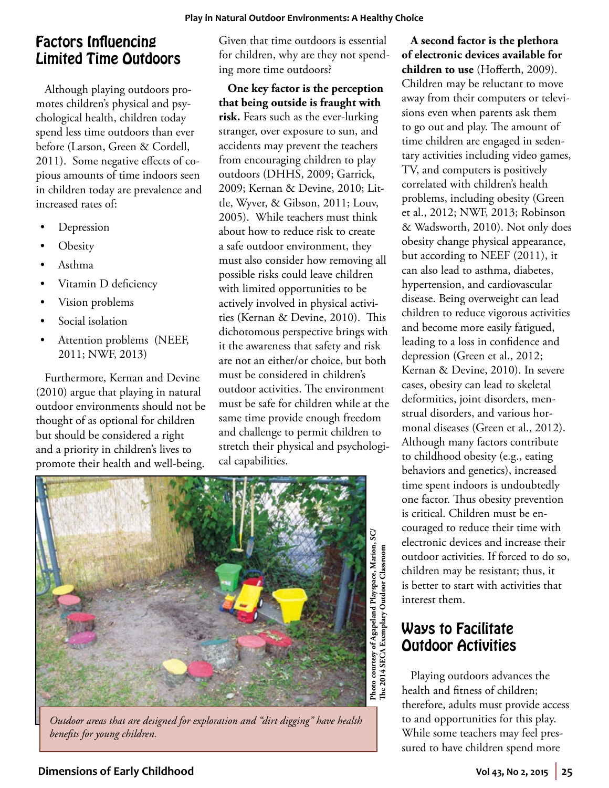# Factors Influencing Limited Time Outdoors

Although playing outdoors promotes children's physical and psychological health, children today spend less time outdoors than ever before (Larson, Green & Cordell, 2011). Some negative effects of copious amounts of time indoors seen in children today are prevalence and increased rates of:

- **Depression**
- **Obesity**
- • Asthma
- Vitamin D deficiency
- Vision problems
- Social isolation
- Attention problems (NEEF, 2011; NWF, 2013)

Furthermore, Kernan and Devine (2010) argue that playing in natural outdoor environments should not be thought of as optional for children but should be considered a right and a priority in children's lives to promote their health and well-being.

Given that time outdoors is essential for children, why are they not spending more time outdoors?

**One key factor is the perception that being outside is fraught with risk.** Fears such as the ever-lurking stranger, over exposure to sun, and accidents may prevent the teachers from encouraging children to play outdoors (DHHS, 2009; Garrick, 2009; Kernan & Devine, 2010; Little, Wyver, & Gibson, 2011; Louv, 2005). While teachers must think about how to reduce risk to create a safe outdoor environment, they must also consider how removing all possible risks could leave children with limited opportunities to be actively involved in physical activities (Kernan & Devine, 2010). This dichotomous perspective brings with it the awareness that safety and risk are not an either/or choice, but both must be considered in children's outdoor activities. The environment must be safe for children while at the same time provide enough freedom and challenge to permit children to stretch their physical and psychological capabilities.



*Outdoor areas that are designed for exploration and "dirt digging" have health benefits for young children.* 

**A second factor is the plethora of electronic devices available for children to use** (Hofferth, 2009). Children may be reluctant to move away from their computers or televisions even when parents ask them to go out and play. The amount of time children are engaged in sedentary activities including video games, TV, and computers is positively correlated with children's health problems, including obesity (Green et al., 2012; NWF, 2013; Robinson & Wadsworth, 2010). Not only does obesity change physical appearance, but according to NEEF (2011), it can also lead to asthma, diabetes, hypertension, and cardiovascular disease. Being overweight can lead children to reduce vigorous activities and become more easily fatigued, leading to a loss in confidence and depression (Green et al., 2012; Kernan & Devine, 2010). In severe cases, obesity can lead to skeletal deformities, joint disorders, menstrual disorders, and various hormonal diseases (Green et al., 2012). Although many factors contribute to childhood obesity (e.g., eating behaviors and genetics), increased time spent indoors is undoubtedly one factor. Thus obesity prevention is critical. Children must be encouraged to reduce their time with electronic devices and increase their outdoor activities. If forced to do so, children may be resistant; thus, it is better to start with activities that interest them.

# Ways to Facilitate Outdoor Activities

Playing outdoors advances the health and fitness of children; therefore, adults must provide access to and opportunities for this play. While some teachers may feel pressured to have children spend more

### **Dimensions of Early Childhood Vol 43, No 2, 2015 25**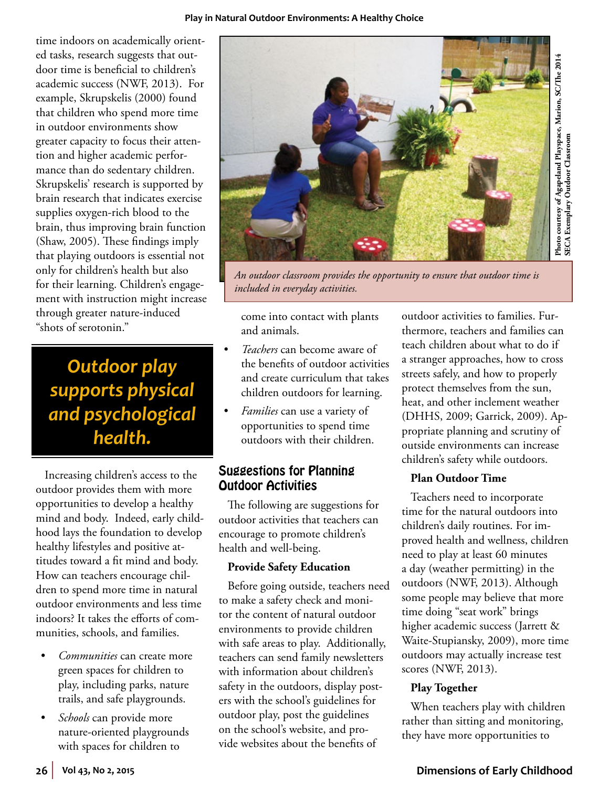#### **Play in Natural Outdoor Environments: A Healthy Choice**

time indoors on academically oriented tasks, research suggests that outdoor time is beneficial to children's academic success (NWF, 2013). For example, Skrupskelis (2000) found that children who spend more time in outdoor environments show greater capacity to focus their attention and higher academic performance than do sedentary children. Skrupskelis' research is supported by brain research that indicates exercise supplies oxygen-rich blood to the brain, thus improving brain function (Shaw, 2005). These findings imply that playing outdoors is essential not only for children's health but also for their learning. Children's engagement with instruction might increase through greater nature-induced "shots of serotonin."

*Outdoor play supports physical and psychological health.*

Increasing children's access to the outdoor provides them with more opportunities to develop a healthy mind and body. Indeed, early childhood lays the foundation to develop healthy lifestyles and positive attitudes toward a fit mind and body. How can teachers encourage children to spend more time in natural outdoor environments and less time indoors? It takes the efforts of communities, schools, and families.

- *Communities* can create more green spaces for children to play, including parks, nature trails, and safe playgrounds.
- *Schools* can provide more nature-oriented playgrounds with spaces for children to





*An outdoor classroom provides the opportunity to ensure that outdoor time is included in everyday activities.* 

come into contact with plants and animals.

- *Teachers* can become aware of the benefits of outdoor activities and create curriculum that takes children outdoors for learning.
- *Families* can use a variety of opportunities to spend time outdoors with their children.

### Suggestions for Planning Outdoor Activities

The following are suggestions for outdoor activities that teachers can encourage to promote children's health and well-being.

#### **Provide Safety Education**

Before going outside, teachers need to make a safety check and monitor the content of natural outdoor environments to provide children with safe areas to play. Additionally, teachers can send family newsletters with information about children's safety in the outdoors, display posters with the school's guidelines for outdoor play, post the guidelines on the school's website, and provide websites about the benefits of

outdoor activities to families. Furthermore, teachers and families can teach children about what to do if a stranger approaches, how to cross streets safely, and how to properly protect themselves from the sun, heat, and other inclement weather (DHHS, 2009; Garrick, 2009). Appropriate planning and scrutiny of outside environments can increase children's safety while outdoors.

#### **Plan Outdoor Time**

Teachers need to incorporate time for the natural outdoors into children's daily routines. For improved health and wellness, children need to play at least 60 minutes a day (weather permitting) in the outdoors (NWF, 2013). Although some people may believe that more time doing "seat work" brings higher academic success (Jarrett & Waite-Stupiansky, 2009), more time outdoors may actually increase test scores (NWF, 2013).

#### **Play Together**

When teachers play with children rather than sitting and monitoring, they have more opportunities to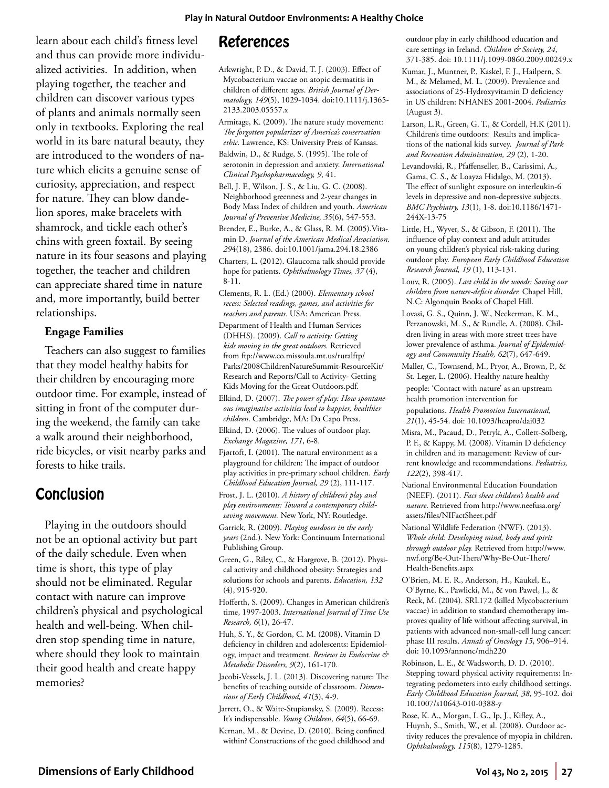learn about each child's fitness level and thus can provide more individualized activities. In addition, when playing together, the teacher and children can discover various types of plants and animals normally seen only in textbooks. Exploring the real world in its bare natural beauty, they are introduced to the wonders of nature which elicits a genuine sense of curiosity, appreciation, and respect for nature. They can blow dandelion spores, make bracelets with shamrock, and tickle each other's chins with green foxtail. By seeing nature in its four seasons and playing together, the teacher and children can appreciate shared time in nature and, more importantly, build better relationships.

#### **Engage Families**

Teachers can also suggest to families that they model healthy habits for their children by encouraging more outdoor time. For example, instead of sitting in front of the computer during the weekend, the family can take a walk around their neighborhood, ride bicycles, or visit nearby parks and forests to hike trails.

## Conclusion

Playing in the outdoors should not be an optional activity but part of the daily schedule. Even when time is short, this type of play should not be eliminated. Regular contact with nature can improve children's physical and psychological health and well-being. When children stop spending time in nature, where should they look to maintain their good health and create happy memories?

# References

- Arkwright, P. D., & David, T. J. (2003). Effect of Mycobacterium vaccae on atopic dermatitis in children of different ages. *British Journal of Dermatology, 149*(5), 1029-1034. doi:10.1111/j.1365- 2133.2003.05557.x
- Armitage, K. (2009). The nature study movement: *The forgotten popularizer of America's conservation ethic.* Lawrence, KS: University Press of Kansas.
- Baldwin, D., & Rudge, S. (1995). The role of serotonin in depression and anxiety. *International Clinical Psychopharmacology, 9*, 41.
- Bell, J. F., Wilson, J. S., & Liu, G. C. (2008). Neighborhood greenness and 2-year changes in Body Mass Index of children and youth. *American Journal of Preventive Medicine, 35*(6), 547-553.
- Brender, E., Burke, A., & Glass, R. M. (2005).Vitamin D. *Journal of the American Medical Association. 29*4(18), 2386. doi:10.1001/jama.294.18.2386
- Charters, L. (2012). Glaucoma talk should provide hope for patients. *Ophthalmology Times, 37* (4), 8-11.
- Clements, R. L. (Ed.) (2000). *Elementary school recess: Selected readings, games, and activities for teachers and parents.* USA: American Press.
- Department of Health and Human Services (DHHS). (2009). *Call to activity: Getting kids moving in the great outdoors.* Retrieved from ftp://www.co.missoula.mt.us/ruralftp/ Parks/2008ChildrenNatureSummit-ResourceKit/ Research and Reports/Call to Activity- Getting Kids Moving for the Great Outdoors.pdf.
- Elkind, D. (2007). *The power of play: How spontaneous imaginative activities lead to happier, healthier children*. Cambridge, MA: Da Capo Press.
- Elkind, D. (2006). The values of outdoor play. *Exchange Magazine, 171*, 6-8.
- Fjørtoft, I. (2001). The natural environment as a playground for children: The impact of outdoor play activities in pre-primary school children. *Early Childhood Education Journal, 29* (2), 111-117.
- Frost, J. L. (2010). *A history of children's play and play environments: Toward a contemporary childsaving movement.* New York, NY: Routledge.
- Garrick, R. (2009). *Playing outdoors in the early years* (2nd.). New York: Continuum International Publishing Group.
- Green, G., Riley, C., & Hargrove, B. (2012). Physical activity and childhood obesity: Strategies and solutions for schools and parents. *Education, 132* (4), 915-920.
- Hofferth, S. (2009). Changes in American children's time, 1997-2003. *International Journal of Time Use Research, 6*(1), 26-47.
- Huh, S. Y., & Gordon, C. M. (2008). Vitamin D deficiency in children and adolescents: Epidemiology, impact and treatment. *Reviews in Endocrine & Metabolic Disorders, 9*(2), 161-170.
- Jacobi-Vessels, J. L. (2013). Discovering nature: The benefits of teaching outside of classroom. *Dimensions of Early Childhood, 41*(3), 4-9.
- Jarrett, O., & Waite-Stupiansky, S. (2009). Recess: It's indispensable. *Young Children, 64*(5), 66-69.
- Kernan, M., & Devine, D. (2010). Being confined within? Constructions of the good childhood and

outdoor play in early childhood education and care settings in Ireland. *Children & Society, 24*, 371-385. doi: 10.1111/j.1099-0860.2009.00249.x

- Kumar, J., Muntner, P., Kaskel, F. J., Hailpern, S. M., & Melamed, M. L. (2009). Prevalence and associations of 25-Hydroxyvitamin D deficiency in US children: NHANES 2001-2004. *Pediatrics* (August 3).
- Larson, L.R., Green, G. T., & Cordell, H.K (2011). Children's time outdoors: Results and implications of the national kids survey. *Journal of Park and Recreation Administration, 29* (2), 1-20.
- Levandovski, R., Pfaffenseller, B., Carissimi, A., Gama, C. S., & Loayza Hidalgo, M. (2013). The effect of sunlight exposure on interleukin-6 levels in depressive and non-depressive subjects. *BMC Psychiatry, 13*(1), 1-8. doi:10.1186/1471- 244X-13-75
- Little, H., Wyver, S., & Gibson, F. (2011). The influence of play context and adult attitudes on young children's physical risk-taking during outdoor play. *European Early Childhood Education Research Journal, 19* (1), 113-131.
- Louv, R. (2005). *Last child in the woods: Saving our children from nature-deficit disorder.* Chapel Hill, N.C: Algonquin Books of Chapel Hill.
- Lovasi, G. S., Quinn, J. W., Neckerman, K. M., Perzanowski, M. S., & Rundle, A. (2008). Children living in areas with more street trees have lower prevalence of asthma. *Journal of Epidemiology and Community Health, 62*(7), 647-649.
- Maller, C., Townsend, M., Pryor, A., Brown, P., & St. Leger, L. (2006). Healthy nature healthy people: 'Contact with nature' as an upstream health promotion intervention for populations. *Health Promotion International, 21*(1), 45-54. doi: 10.1093/heapro/dai032
- Misra, M., Pacaud, D., Petryk, A., Collett-Solberg, P. F., & Kappy, M. (2008). Vitamin D deficiency in children and its management: Review of current knowledge and recommendations. *Pediatrics, 122*(2), 398-417.
- National Environmental Education Foundation (NEEF). (2011). *Fact sheet children's health and nature*. Retrieved from http://www.neefusa.org/ assets/files/NIFactSheet.pdf
- National Wildlife Federation (NWF). (2013). *Whole child: Developing mind, body and spirit through outdoor play.* Retrieved from http://www. nwf.org/Be-Out-There/Why-Be-Out-There/ Health-Benefits.aspx
- O'Brien, M. E. R., Anderson, H., Kaukel, E., O'Byrne, K., Pawlicki, M., & von Pawel, J., & Reck, M. (2004). SRL172 (killed Mycobacterium vaccae) in addition to standard chemotherapy improves quality of life without affecting survival, in patients with advanced non-small-cell lung cancer: phase III results. *Annals of Oncology 15*, 906–914. doi: 10.1093/annonc/mdh220
- Robinson, L. E., & Wadsworth, D. D. (2010). Stepping toward physical activity requirements: Integrating pedometers into early childhood settings. *Early Childhood Education Journal, 38*, 95-102. doi 10.1007/s10643-010-0388-y
- Rose, K. A., Morgan, I. G., Ip, J., Kifley, A., Huynh, S., Smith, W., et al. (2008). Outdoor activity reduces the prevalence of myopia in children. *Ophthalmology, 115*(8), 1279-1285.